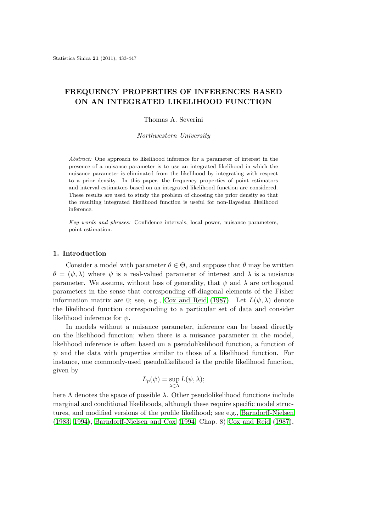## **FREQUENCY PROPERTIES OF INFERENCES BASED ON AN INTEGRATED LIKELIHOOD FUNCTION**

### Thomas A. Severini

*Northwestern University*

*Abstract:* One approach to likelihood inference for a parameter of interest in the presence of a nuisance parameter is to use an integrated likelihood in which the nuisance parameter is eliminated from the likelihood by integrating with respect to a prior density. In this paper, the frequency properties of point estimators and interval estimators based on an integrated likelihood function are considered. These results are used to study the problem of choosing the prior density so that the resulting integrated likelihood function is useful for non-Bayesian likelihood inference.

*Key words and phrases:* Confidence intervals, local power, nuisance parameters, point estimation.

## **1. Introduction**

Consider a model with parameter  $\theta \in \Theta$ , and suppose that  $\theta$  may be written  $\theta = (\psi, \lambda)$  where  $\psi$  is a real-valued parameter of interest and  $\lambda$  is a nusiance parameter. We assume, without loss of generality, that  $\psi$  and  $\lambda$  are orthogonal parameters in the sense that corresponding off-diagonal elements of the Fisher information matrix are 0; see, e.g., Cox and Reid (1987). Let  $L(\psi, \lambda)$  denote the likelihood function corresponding to a particular set of data and consider likelihood inference for *ψ*.

In models without a nuisance parameter, inference can be based directly on the likelihood function; when t[here is a nuisance par](#page-14-0)ameter in the model, likelihood inference is often based on a pseudolikelihood function, a function of *ψ* and the data with properties similar to those of a likelihood function. For instance, one commonly-used pseudolikelihood is the profile likelihood function, given by

$$
L_p(\psi) = \sup_{\lambda \in \Lambda} L(\psi, \lambda);
$$

here  $\Lambda$  denotes the space of possible  $\lambda$ . Other pseudolikelihood functions include marginal and conditional likelihoods, although these require specific model structures, and modified versions of the profile likelihood; see e.g., Barndorff-Nielsen (1983, 1994), Barndorff-Nielsen and Cox (1994, Chap. 8) Cox and Reid (1987),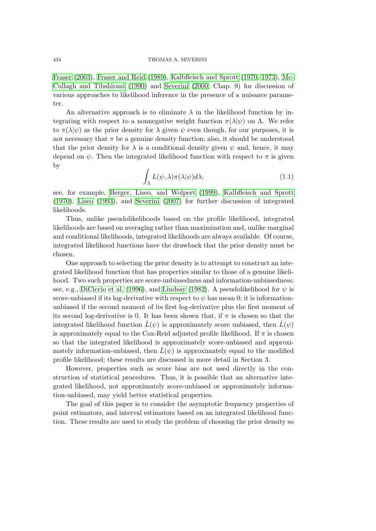Fraser (2003), Fraser and Reid (1989), Kalbfleisch and Sprott (1970, 1973), Mc-Cullagh and Tibshirani (1990) and Severini (2000, Chap. 9) for discussion of various approaches to likelihood inference in the presence of a nuisance parame[ter.](#page-14-0)

An [alter](#page-14-0)n[ative approach is to eli](#page-14-0)minate  $\lambda$  [in the likelihood function by in](#page-14-0)[tegrating with respect to a non](#page-14-0)nega[tive weig](#page-14-0)h[t func](#page-14-0)tion  $\pi(\lambda|\psi)$  on  $\Lambda$ . We refer to  $\pi(\lambda|\psi)$  as the prior density for  $\lambda$  given  $\psi$  even though, for our purposes, it is not necessary that  $\pi$  be a genuine density function; also, it should be understood that the prior density for  $\lambda$  is a conditional density given  $\psi$  and, hence, it may depend on  $\psi$ . Then the integrated likelihood function with respect to  $\pi$  is given by

$$
\int_{\Lambda} L(\psi, \lambda) \pi(\lambda | \psi) d\lambda; \tag{1.1}
$$

see, for example, Berger, Liseo, and Wolpert (1999), Kalbfleisch and Sprott (1970), Liseo (1993), and Severini (2007) for further discussion of integrated likelihoods.

Thus, unlike pseudolikelihoods based on the profile likelihood, integrated likelihoods are bas[ed on averaging rather than m](#page-14-0)a[ximiz](#page-14-0)at[ion and, unlike marginal](#page-14-0) [and co](#page-14-0)n[dition](#page-14-0)a[l likeli](#page-14-0)hoods, [integrated likel](#page-14-0)ihoods are always available. Of course, integrated likelihood functions have the drawback that the prior density must be chosen.

One approach to selecting the prior density is to attempt to construct an integrated likelihood function that has properties similar to those of a genuine likelihood. Two such properties are score-unbiasedness and information-unbiasedness; see, e.g., DiCiccio et al. (1996), and Lindsay (1982). A pseudolikelihood for  $\psi$  is score-unbiased if its log-derivative with respect to  $\psi$  has mean 0; it is informationunbiased if the second moment of its first log-derivative plus the first moment of its second log-derivative is 0. It has been shown that, if  $\pi$  is chosen so that the integrate[d likelihood function](#page-14-0)  $L(\psi)$  [is appro](#page-14-0)x[imate](#page-14-0)ly score unbiased, then  $L(\psi)$ is approximately equal to the Cox-Reid adjusted profile likelihood. If  $\pi$  is chosen so that the integrated likelihood is approximately score-unbiased and approximately information-unbiased, then  $L(\psi)$  is approximately equal to the modified profile likelihood; these results are discussed in more detail in Section 3.

However, properties such as score bias are not used directly in the construction of statistical procedures. Thus, it is possible that an alternative integrated likelihood, not approximately score-unbiased or approximately information-unbiased, may yield better statistical properties.

The goal of this paper is to consider the asymptotic frequency properties of point estimators, and interval estimators based on an integrated likelihood function. These results are used to study the problem of choosing the prior density so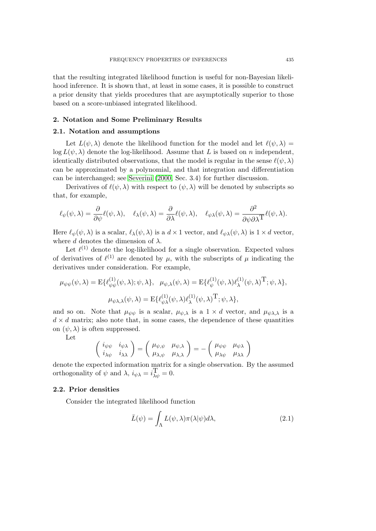that the resulting integrated likelihood function is useful for non-Bayesian likelihood inference. It is shown that, at least in some cases, it is possible to construct a prior density that yields procedures that are asymptotically superior to those based on a score-unbiased integrated likelihood.

#### **2. Notation and Some Preliminary Results**

## **2.1. Notation and assumptions**

Let  $L(\psi, \lambda)$  denote the likelihood function for the model and let  $\ell(\psi, \lambda)$  =  $\log L(\psi, \lambda)$  denote the log-likelihood. Assume that *L* is based on *n* independent, identically distributed observations, that the model is regular in the sense  $\ell(\psi, \lambda)$ can be approximated by a polynomial, and that integration and differentiation can be interchanged; see Severini (2000, Sec. 3.4) for further discussion.

Derivatives of  $\ell(\psi, \lambda)$  with respect to  $(\psi, \lambda)$  will be denoted by subscripts so that, for example,

$$
\ell_{\psi}(\psi,\lambda) = \frac{\partial}{\partial \psi}\ell(\psi,\lambda), \quad \ell_{\lambda}(\psi,\lambda) = \frac{\partial}{\partial \lambda}\ell(\psi,\lambda), \quad \ell_{\psi\lambda}(\psi,\lambda) = \frac{\partial^2}{\partial \psi \partial \lambda^{\mathrm{T}}}\ell(\psi,\lambda).
$$

Here  $\ell_{\psi}(\psi, \lambda)$  is a scalar,  $\ell_{\lambda}(\psi, \lambda)$  is a  $d \times 1$  vector, and  $\ell_{\psi\lambda}(\psi, \lambda)$  is  $1 \times d$  vector, where *d* denotes the dimension of  $\lambda$ .

Let  $\ell^{(1)}$  denote the log-likelihood for a single observation. Expected values of derivatives of  $\ell^{(1)}$  are denoted by  $\mu$ , with the subscripts of  $\mu$  indicating the derivatives under consideration. For example,

$$
\mu_{\psi\psi}(\psi,\lambda) = \mathbb{E}\{\ell_{\psi\psi}^{(1)}(\psi,\lambda); \psi,\lambda\}, \quad \mu_{\psi,\lambda}(\psi,\lambda) = \mathbb{E}\{\ell_{\psi}^{(1)}(\psi,\lambda)\ell_{\lambda}^{(1)}(\psi,\lambda)^{\mathrm{T}}; \psi,\lambda\},
$$

$$
\mu_{\psi\lambda,\lambda}(\psi,\lambda) = \mathbb{E}\{\ell_{\psi\lambda}^{(1)}(\psi,\lambda)\ell_{\lambda}^{(1)}(\psi,\lambda)^{\mathrm{T}}; \psi,\lambda\},
$$

and so on. Note that  $\mu_{\psi\psi}$  is a scalar,  $\mu_{\psi,\lambda}$  is a  $1 \times d$  vector, and  $\mu_{\psi\lambda,\lambda}$  is a  $d \times d$  matrix; also note that, in some cases, the dependence of these quantities on  $(\psi, \lambda)$  is often suppressed.

Let

$$
\begin{pmatrix}\ni_{\psi\psi} & i_{\psi\lambda} \\
i_{\lambda\psi} & i_{\lambda\lambda}\n\end{pmatrix} = \begin{pmatrix}\mu_{\psi,\psi} & \mu_{\psi,\lambda} \\
\mu_{\lambda,\psi} & \mu_{\lambda,\lambda}\n\end{pmatrix} = - \begin{pmatrix}\mu_{\psi\psi} & \mu_{\psi\lambda} \\
\mu_{\lambda\psi} & \mu_{\lambda\lambda}\n\end{pmatrix}
$$

denote the expected information matrix for a single observation. By the assumed orthogonality of  $\psi$  and  $\lambda$ ,  $i_{\psi\lambda} = i\frac{\Gamma}{\lambda\psi} = 0$ .

## **2.2. Prior densities**

Consider the integrated likelihood function

$$
\bar{L}(\psi) = \int_{\Lambda} L(\psi, \lambda) \pi(\lambda | \psi) d\lambda, \qquad (2.1)
$$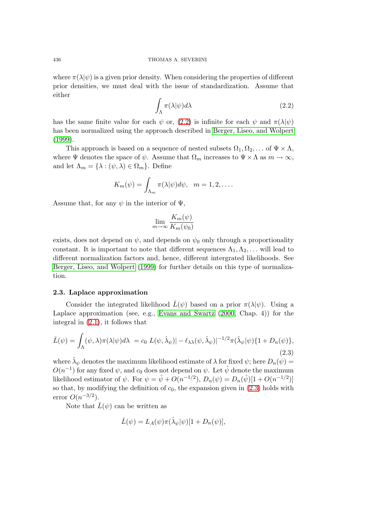<span id="page-3-0"></span>where  $\pi(\lambda|\psi)$  is a given prior density. When considering the properties of different prior densities, we must deal with the issue of standardization. Assume that either

$$
\int_{\Lambda} \pi(\lambda|\psi) d\lambda \tag{2.2}
$$

has the same finite value for each  $\psi$  or, (2.2) is infinite for each  $\psi$  and  $\pi(\lambda|\psi)$ has been normalized using the approach described in Berger, Liseo, and Wolpert  $(1999)$ .

This approach is based on a sequence of nested subsets  $\Omega_1, \Omega_2, \ldots$  of  $\Psi \times \Lambda$ , where  $\Psi$  denotes the space of  $\psi$ . Assume that  $\Omega_m$  increases to  $\Psi \times \Lambda$  as  $m \to \infty$ , [and le](#page-14-0)t  $\Lambda_m = {\lambda : (\psi, \lambda) \in \Omega_m}$ . Define

$$
K_m(\psi) = \int_{\Lambda_m} \pi(\lambda|\psi) d\psi, \quad m = 1, 2, \dots
$$

Assume that, for any  $\psi$  in the interior of  $\Psi$ ,

$$
\lim_{m \to \infty} \frac{K_m(\psi)}{K_m(\psi_0)}
$$

exists, does not depend on  $\psi$ , and depends on  $\psi_0$  only through a proportionality constant. It is important to note that different sequences  $\Lambda_1, \Lambda_2, \ldots$  will lead to different normalization factors and, hence, different intergrated likelihoods. See Berger, Liseo, and Wolpert (1999) for further details on this type of normalization.

#### **2.3. Laplace approximati[on](#page-14-0)**

[Consider the integrated](#page-14-0) likelihood  $\bar{L}(\psi)$  based on a prior  $\pi(\lambda|\psi)$ . Using a Laplace approximation (see, e.g., Evans and Swartz (2000, Chap. 4)) for the integral in (2.1), it follows that

$$
\bar{L}(\psi) = \int_{\Lambda} (\psi, \lambda) \pi(\lambda | \psi) d\lambda = c_0 L(\psi, \hat{\lambda}_{\psi}) - \ell_{\lambda \lambda} (\psi, \hat{\lambda}_{\psi}) |^{-1/2} \pi(\hat{\lambda}_{\psi} | \psi) \{1 + D_n(\psi)\},
$$
\n(2.3)

where  $\hat{\lambda}_{\psi}$  denotes the maximum likelihood estimate of  $\lambda$  for fixed  $\psi$ ; here  $D_n(\psi)$  =  $O(n^{-1})$  for any fixed  $\psi$ , and  $c_0$  does not depend on  $\psi$ . Let  $\hat{\psi}$  denote the maximum likelihood estimator of  $\psi$ . For  $\psi = \hat{\psi} + O(n^{-1/2}), D_n(\psi) = D_n(\hat{\psi})[1 + O(n^{-1/2})]$ so that, by modifying the definition of  $c_0$ , the expansion given in  $(2.3)$  holds with error  $O(n^{-3/2})$ .

Note that  $\bar{L}(\psi)$  can be written as

$$
\bar{L}(\psi) = L_A(\psi)\pi(\hat{\lambda}_{\psi}|\psi)[1 + D_n(\psi)],
$$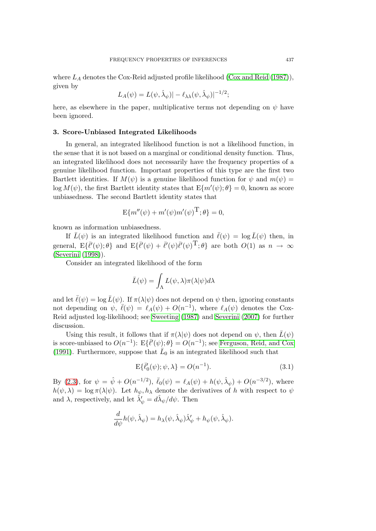<span id="page-4-0"></span>where  $L_A$  denotes the Cox-Reid adjusted profile likelihood (Cox and Reid  $(1987)$ ), given by

$$
L_A(\psi) = L(\psi, \hat{\lambda}_{\psi}) - \ell_{\lambda \lambda}(\psi, \hat{\lambda}_{\psi})|^{-1/2};
$$

here, as elsewhere in the paper, multiplicative terms not [depending on](#page-14-0)  $\psi$  [hav](#page-14-0)e been ignored.

#### **3. Score-Unbiased Integrated Likelihoods**

In general, an integrated likelihood function is not a likelihood function, in the sense that it is not based on a marginal or conditional density function. Thus, an integrated likelihood does not necessarily have the frequency properties of a genuine likelihood function. Important properties of this type are the first two Bartlett identities. If  $M(\psi)$  is a genuine likelihood function for  $\psi$  and  $m(\psi)$  =  $\log M(\psi)$ , the first Bartlett identity states that  $E\{m'(\psi); \theta\} = 0$ , known as score unbiasedness. The second Bartlett identity states that

$$
E{m''(\psi) + m'(\psi)m'(\psi)^T}; \theta} = 0,
$$

known as information unbiasedness.

If  $\bar{L}(\psi)$  is an integrated likelihood function and  $\bar{\ell}(\psi) = \log \bar{L}(\psi)$  then, in general,  $E\{\bar{\ell}(\psi);\theta\}$  and  $E\{\bar{\ell}(\psi)+\bar{\ell}(\psi)\bar{\ell}(\psi)^{\mathrm{T}};\theta\}$  are both  $O(1)$  as  $n \to \infty$ (Severini (1998)).

Consider an integrated likelihood of the form

$$
\bar{L}(\psi) = \int_{\Lambda} L(\psi, \lambda) \pi(\lambda | \psi) d\lambda
$$

and let  $\bar{\ell}(\psi) = \log \bar{L}(\psi)$ . If  $\pi(\lambda|\psi)$  does not depend on  $\psi$  then, ignoring constants not depending on  $\psi$ ,  $\bar{\ell}(\psi) = \ell_A(\psi) + O(n^{-1})$ , where  $\ell_A(\psi)$  denotes the Cox-Reid adjusted log-likelihood; see Sweeting (1987) and Severini (2007) for further discussion.

Using this result, it follows that if  $\pi(\lambda|\psi)$  does not depend on  $\psi$ , then  $\bar{L}(\psi)$ is score-unbiased to  $O(n^{-1})$ :  $E\{\bar{\ell}'(\psi); \theta\} = O(n^{-1})$ ; see Ferguson, Reid, and Cox (1991). Furthermore, suppose that  $\bar{L}_0$  [is an integ](#page-14-0)rate[d likelihood suc](#page-14-0)h that

$$
\mathbf{E}\{\bar{\ell}_0'(\psi); \psi, \lambda\} = O(n^{-1}).\tag{3.1}
$$

[By \(2](#page-14-0).3), for  $\psi = \hat{\psi} + O(n^{-1/2}), \ \bar{\ell}_0(\psi) = \ell_A(\psi) + h(\psi, \hat{\lambda}_{\psi}) + O(n^{-3/2}),$  where  $h(\psi, \lambda) = \log \pi(\lambda | \psi)$ . Let  $h_{\psi}, h_{\lambda}$  denote the derivatives of *h* with respect to  $\psi$ and  $\lambda$ , respectively, and let  $\hat{\lambda}'_{\psi} = d\hat{\lambda}_{\psi}/d\psi$ . Then

$$
\frac{d}{d\psi}h(\psi,\hat{\lambda}_{\psi})=h_{\lambda}(\psi,\hat{\lambda}_{\psi})\hat{\lambda}'_{\psi}+h_{\psi}(\psi,\hat{\lambda}_{\psi}).
$$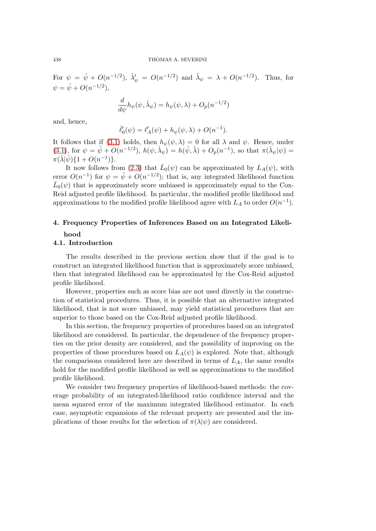For  $\psi = \hat{\psi} + O(n^{-1/2}), \ \hat{\lambda}'_{\psi} = O(n^{-1/2})$  and  $\hat{\lambda}_{\psi} = \lambda + O(n^{-1/2}).$  Thus, for  $\psi = \hat{\psi} + O(n^{-1/2}),$ 

$$
\frac{d}{d\psi}h_{\psi}(\psi,\hat{\lambda}_{\psi}) = h_{\psi}(\psi,\lambda) + O_p(n^{-1/2})
$$

and, hence,

$$
\bar{\ell}'_0(\psi) = \ell'_A(\psi) + h_{\psi}(\psi, \lambda) + O(n^{-1}).
$$

It follows that if (3.1) holds, then  $h_{\psi}(\psi, \lambda) = 0$  for all  $\lambda$  and  $\psi$ . Hence, under (3.1), for  $\psi = \hat{\psi} + O(n^{-1/2}), h(\psi, \hat{\lambda}_{\psi}) = h(\hat{\psi}, \hat{\lambda}) + O_p(n^{-1}),$  so that  $\pi(\hat{\lambda}_{\psi}|\psi) =$  $\pi(\hat{\lambda}|\hat{\psi})\{1+O(n^{-1})\}.$ 

It now follows from (2.3) that  $\bar{L}_0(\psi)$  can be approximated by  $L_A(\psi)$ , with [error](#page-4-0)  $O(n^{-1})$  for  $\psi = \hat{\psi} + O(n^{-1/2})$  $\psi = \hat{\psi} + O(n^{-1/2})$  $\psi = \hat{\psi} + O(n^{-1/2})$ ; that is, any integrated likelihood function  $\bar{L}_0(\psi)$  that is approximately score unbiased is approximately equal to the Cox-Reid adjusted profile likelihood. In particular, the modified profile likelihood and approximations to the mo[difie](#page-3-0)d profile likelihood agree with  $L_A$  to order  $O(n^{-1})$ .

# **4. Frequency Properties of Inferences Based on an Integrated Likelihood**

## **4.1. Introduction**

The results described in the previous section show that if the goal is to construct an integrated likelihood function that is approximately score unbiased, then that integrated likelihood can be approximated by the Cox-Reid adjusted profile likelihood.

However, properties such as score bias are not used directly in the construction of statistical procedures. Thus, it is possible that an alternative integrated likelihood, that is not score unbiased, may yield statistical procedures that are superior to those based on the Cox-Reid adjusted profile likelihood.

In this section, the frequency properties of procedures based on an integrated likelihood are considered. In particular, the dependence of the frequency properties on the prior density are considered, and the possibility of improving on the properties of those procedures based on  $L_A(\psi)$  is explored. Note that, although the comparisons considered here are described in terms of *LA*, the same results hold for the modified profile likelihood as well as approximations to the modified profile likelihood.

We consider two frequency properties of likelihood-based methods: the coverage probability of an integrated-likelihood ratio confidence interval and the mean squared error of the maximum integrated likelihood estimator. In each case, asymptotic expansions of the relevant property are presented and the implications of those results for the selection of  $\pi(\lambda|\psi)$  are considered.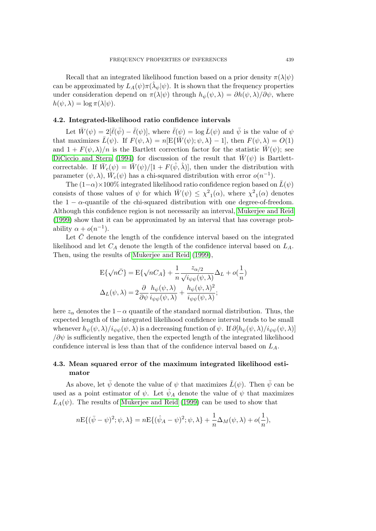Recall that an integrated likelihood function based on a prior density *π*(*λ|ψ*) can be approximated by  $L_A(\psi) \pi(\hat{\lambda}_{\psi}|\psi)$ . It is shown that the frequency properties under consideration depend on  $\pi(\lambda|\psi)$  through  $h_{\psi}(\psi,\lambda) = \partial h(\psi,\lambda)/\partial \psi$ , where  $h(\psi, \lambda) = \log \pi(\lambda | \psi).$ 

#### **4.2. Integrated-likelihood ratio confidence intervals**

Let  $\bar{W}(\psi) = 2[\bar{\ell}(\bar{\psi}) - \bar{\ell}(\psi)]$ , where  $\bar{\ell}(\psi) = \log \bar{L}(\psi)$  and  $\bar{\psi}$  is the value of  $\psi$ that maximizes  $\bar{L}(\psi)$ . If  $F(\psi, \lambda) = n[E{\{\bar{W}(\psi); \psi, \lambda\} - 1}]$ , then  $F(\psi, \lambda) = O(1)$ and  $1 + F(\psi, \lambda)/n$  is the Bartlett correction factor for the statistic  $\overline{W}(\psi)$ ; see Diciccio and Stern (1994) for discussion of the result that  $W(\psi)$  is Bartlettcorrectable. If  $\bar{W}_c(\psi) = \bar{W}(\psi)/[1 + F(\hat{\psi}, \hat{\lambda})]$ , then under the distribution with parameter  $(\psi, \lambda)$ ,  $\overline{W}_c(\psi)$  has a chi-squared distribution with error  $o(n^{-1})$ .

The  $(1-\alpha) \times 100\%$  integrated likelihood ratio confidence region based on  $L(\psi)$ [consists of those va](#page-14-0)l[ues of](#page-14-0)  $\psi$  for which  $\overline{W}(\psi) \leq \chi^2_1(\alpha)$ , where  $\chi^2_1(\alpha)$  denotes the  $1 - \alpha$ -quantile of the chi-squared distribution with one degree-of-freedom. Although this confidence region is not necessarily an interval, Mukerjee and Reid (1999) show that it can be approximated by an interval that has coverage probability  $\alpha + o(n^{-1})$ .

Let  $\bar{C}$  denote the length of the confidence interval based on the integrated likelihood and let *C<sup>A</sup>* denote the length of the confidence in[terval based on](#page-14-0) *LA*. [Then,](#page-14-0) using the results of Mukerjee and Reid (1999),

$$
E\{\sqrt{n}\bar{C}\} = E\{\sqrt{n}C_A\} + \frac{1}{n} \frac{z_{\alpha/2}}{\sqrt{i_{\psi\psi}(\psi,\lambda)}} \Delta_L + o(\frac{1}{n})
$$
  

$$
\Delta_L(\psi,\lambda) = 2 \frac{\partial}{\partial \psi} \frac{h_{\psi}(\psi,\lambda)}{i_{\psi\psi}(\psi,\lambda)} + \frac{h_{\psi}(\psi,\lambda)^2}{i_{\psi\psi}(\psi,\lambda)};
$$

here  $z_\alpha$  denotes the 1*−* $\alpha$  quantile of the standard normal distribution. Thus, the expected length of the integrated likelihood confidence interval tends to be small whenever  $h_{\psi}(\psi, \lambda)/i_{\psi\psi}(\psi, \lambda)$  is a decreasing function of  $\psi$ . If  $\partial[h_{\psi}(\psi, \lambda)/i_{\psi\psi}(\psi, \lambda)]$ */∂ψ* is sufficiently negative, then the expected length of the integrated likelihood confidence interval is less than that of the confidence interval based on *LA*.

## **4.3. Mean squared error of the maximum integrated likelihood estimator**

As above, let  $\bar{\psi}$  denote the value of  $\psi$  that maximizes  $\bar{L}(\psi)$ . Then  $\bar{\psi}$  can be used as a point estimator of  $\psi$ . Let  $\psi_A$  denote the value of  $\psi$  that maximizes  $L_A(\psi)$ . The results of Mukerjee and Reid (1999) can be used to show that

$$
nE\{(\bar{\psi} - \psi)^2; \psi, \lambda\} = nE\{(\hat{\psi}_A - \psi)^2; \psi, \lambda\} + \frac{1}{n}\Delta_M(\psi, \lambda) + o(\frac{1}{n}),
$$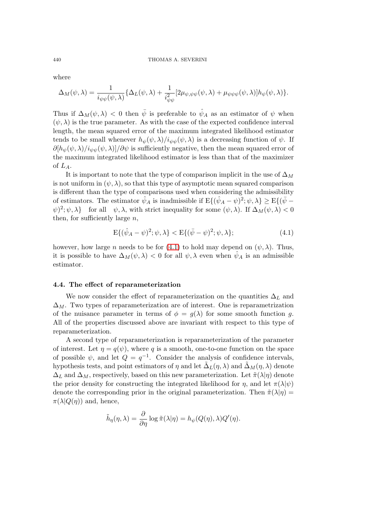where

$$
\Delta_M(\psi, \lambda) = \frac{1}{i_{\psi\psi}(\psi, \lambda)} \{ \Delta_L(\psi, \lambda) + \frac{1}{i_{\psi\psi}^2} [2\mu_{\psi, \psi\psi}(\psi, \lambda) + \mu_{\psi\psi\psi}(\psi, \lambda)] h_{\psi}(\psi, \lambda) \}.
$$

Thus if  $\Delta_M(\psi, \lambda) < 0$  then  $\bar{\psi}$  is preferable to  $\hat{\psi}_A$  as an estimator of  $\psi$  when  $(\psi, \lambda)$  is the true parameter. As with the case of the expected confidence interval length, the mean squared error of the maximum integrated likelihood estimator tends to be small whenever  $h_{\psi}(\psi, \lambda)/i_{\psi\psi}(\psi, \lambda)$  is a decreasing function of  $\psi$ . If  $\partial[h_{\psi}(\psi,\lambda)/i_{\psi\psi}(\psi,\lambda)]/\partial\psi$  is sufficiently negative, then the mean squared error of the maximum integrated likelihood estimator is less than that of the maximizer of *LA*.

It is important to note that the type of comparison implicit in the use of  $\Delta_M$ is not uniform in  $(\psi, \lambda)$ , so that this type of asymptotic mean squared comparison is different than the type of comparisons used when considering the admissibility of estimators. The estimator  $\hat{\psi}_A$  is inadmissible if  $E\{(\hat{\psi}_A - \psi)^2; \psi, \lambda\} \ge E\{(\bar{\psi} - \bar{\psi})\}$  $\langle \psi |^2; \psi, \lambda \rangle$  for all  $\psi, \lambda$ , with strict inequality for some  $(\psi, \lambda)$ . If  $\Delta_M(\psi, \lambda) < 0$ then, for sufficiently large *n*,

$$
E\{(\hat{\psi}_A - \psi)^2; \psi, \lambda\} < E\{(\bar{\psi} - \psi)^2; \psi, \lambda\};\tag{4.1}
$$

however, how large *n* needs to be for (4.1) to hold may depend on  $(\psi, \lambda)$ . Thus, it is possible to have  $\Delta_M(\psi, \lambda) < 0$  for all  $\psi, \lambda$  even when  $\psi_A$  is an admissible estimator.

## **4.4. The effect of reparameterization**

We now consider the effect of reparameterization on the quantities ∆*<sup>L</sup>* and  $\Delta_M$ . Two types of reparameterization are of interest. One is reparametrization of the nuisance parameter in terms of  $\phi = g(\lambda)$  for some smooth function g. All of the properties discussed above are invariant with respect to this type of reparameterization.

A second type of reparameterization is reparameterization of the parameter of interest. Let  $\eta = q(\psi)$ , where q is a smooth, one-to-one function on the space of possible  $\psi$ , and let  $Q = q^{-1}$ . Consider the analysis of confidence intervals, hypothesis tests, and point estimators of  $\eta$  and let  $\tilde{\Delta}_L(\eta, \lambda)$  and  $\tilde{\Delta}_M(\eta, \lambda)$  denote  $\Delta_L$  and  $\Delta_M$ , respectively, based on this new parameterization. Let  $\tilde{\pi}(\lambda|\eta)$  denote the prior density for constructing the integrated likelihood for  $\eta$ , and let  $\pi(\lambda|\psi)$ denote the corresponding prior in the original parameterization. Then  $\tilde{\pi}(\lambda|\eta)$  =  $\pi(\lambda|Q(\eta))$  and, hence,

$$
\tilde{h}_{\eta}(\eta,\lambda) = \frac{\partial}{\partial \eta} \log \tilde{\pi}(\lambda|\eta) = h_{\psi}(Q(\eta),\lambda)Q'(\eta).
$$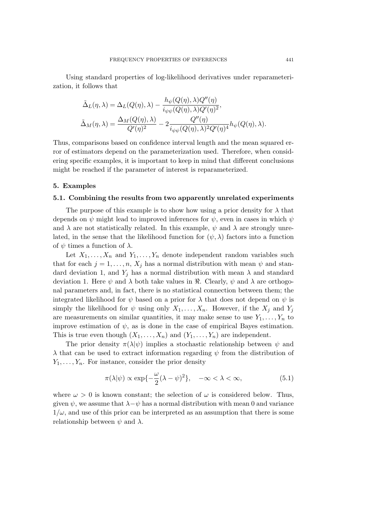<span id="page-8-0"></span>Using standard properties of log-likelihood derivatives under reparameterization, it follows that

$$
\tilde{\Delta}_L(\eta, \lambda) = \Delta_L(Q(\eta), \lambda) - \frac{h_{\psi}(Q(\eta), \lambda)Q''(\eta)}{i_{\psi\psi}(Q(\eta), \lambda)Q'(\eta)^2},
$$
  

$$
\tilde{\Delta}_M(\eta, \lambda) = \frac{\Delta_M(Q(\eta), \lambda)}{Q'(\eta)^2} - 2\frac{Q''(\eta)}{i_{\psi\psi}(Q(\eta), \lambda)^2Q'(\eta)^4}h_{\psi}(Q(\eta), \lambda).
$$

Thus, comparisons based on confidence interval length and the mean squared error of estimators depend on the parameterization used. Therefore, when considering specific examples, it is important to keep in mind that different conclusions might be reached if the parameter of interest is reparameterized.

#### **5. Examples**

## **5.1. Combining the results from two apparently unrelated experiments**

The purpose of this example is to show how using a prior density for  $\lambda$  that depends on *ψ* might lead to improved inferences for *ψ*, even in cases in which *ψ* and  $\lambda$  are not statistically related. In this example,  $\psi$  and  $\lambda$  are strongly unrelated, in the sense that the likelihood function for  $(\psi, \lambda)$  factors into a function of  $\psi$  times a function of  $\lambda$ .

Let  $X_1, \ldots, X_n$  and  $Y_1, \ldots, Y_n$  denote independent random variables such that for each  $j = 1, \ldots, n$ ,  $X_j$  has a normal distribution with mean  $\psi$  and standard deviation 1, and  $Y_i$  has a normal distribution with mean  $\lambda$  and standard deviation 1. Here  $\psi$  and  $\lambda$  both take values in  $\Re$ . Clearly,  $\psi$  and  $\lambda$  are orthogonal parameters and, in fact, there is no statistical connection between them; the integrated likelihood for  $\psi$  based on a prior for  $\lambda$  that does not depend on  $\psi$  is simply the likelihood for  $\psi$  using only  $X_1, \ldots, X_n$ . However, if the  $X_j$  and  $Y_j$ are measurements on similar quantities, it may make sense to use  $Y_1, \ldots, Y_n$  to improve estimation of  $\psi$ , as is done in the case of empirical Bayes estimation. This is true even though  $(X_1, \ldots, X_n)$  and  $(Y_1, \ldots, Y_n)$  are independent.

The prior density  $\pi(\lambda|\psi)$  implies a stochastic relationship between  $\psi$  and *λ* that can be used to extract information regarding *ψ* from the distribution of  $Y_1, \ldots, Y_n$ . For instance, consider the prior density

$$
\pi(\lambda|\psi) \propto \exp\{-\frac{\omega}{2}(\lambda - \psi)^2\}, \quad -\infty < \lambda < \infty,
$$
\n(5.1)

where  $\omega > 0$  is known constant; the selection of  $\omega$  is considered below. Thus, given  $\psi$ , we assume that  $\lambda - \psi$  has a normal distribution with mean 0 and variance  $1/\omega$ , and use of this prior can be interpreted as an assumption that there is some relationship between  $\psi$  and  $\lambda$ .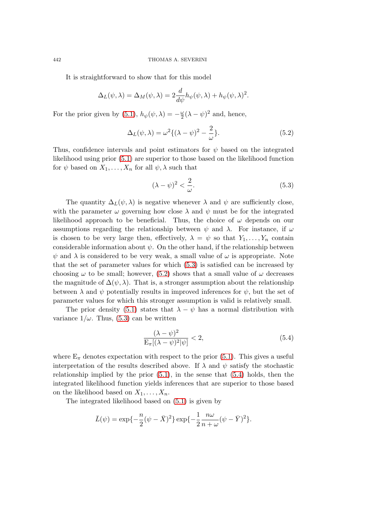It is straightforward to show that for this model

$$
\Delta_L(\psi, \lambda) = \Delta_M(\psi, \lambda) = 2 \frac{d}{d\psi} h_{\psi}(\psi, \lambda) + h_{\psi}(\psi, \lambda)^2.
$$

For the prior given by (5.1),  $h_{\psi}(\psi, \lambda) = -\frac{\omega}{2}$  $\frac{\omega}{2}(\lambda - \psi)^2$  and, hence,

$$
\Delta_L(\psi, \lambda) = \omega^2 \{ (\lambda - \psi)^2 - \frac{2}{\omega} \}.
$$
\n(5.2)

Thus, confidence inter[vals](#page-8-0) and point estimators for *ψ* based on the integrated likelihood using prior (5.1) are superior to those based on the likelihood function for  $\psi$  based on  $X_1, \ldots, X_n$  for all  $\psi, \lambda$  such that

$$
(\lambda - \psi)^2 < \frac{2}{\omega}.\tag{5.3}
$$

The quantity  $\Delta_L(\psi, \lambda)$  is negative whenever  $\lambda$  and  $\psi$  are sufficiently close, with the parameter  $\omega$  governing how close  $\lambda$  and  $\psi$  must be for the integrated likelihood approach to be beneficial. Thus, the choice of  $\omega$  depends on our assumptions regarding the relationship between  $\psi$  and  $\lambda$ . For instance, if  $\omega$ is chosen to be very large then, effectively,  $\lambda = \psi$  so that  $Y_1, \ldots, Y_n$  contain considerable information about  $\psi$ . On the other hand, if the relationship between  $\psi$  and  $\lambda$  is considered to be very weak, a small value of  $\omega$  is appropriate. Note that the set of parameter values for which (5.3) is satisfied can be increased by choosing  $\omega$  to be small; however, (5.2) shows that a small value of  $\omega$  decreases the magnitude of  $\Delta(\psi, \lambda)$ . That is, a stronger assumption about the relationship between  $\lambda$  and  $\psi$  potentially results in improved inferences for  $\psi$ , but the set of parameter values for which this stronger assumption is valid is relatively small.

The prior density (5.1) states that  $\lambda - \psi$  has a normal distribution with variance  $1/\omega$ . Thus, (5.3) can be written

$$
\frac{(\lambda - \psi)^2}{\mathcal{E}_{\pi}[(\lambda - \psi)^2|\psi]} < 2,\tag{5.4}
$$

where  $E_{\pi}$  denotes expectation with respect to the prior (5.1). This gives a useful interpretation of the results described above. If  $\lambda$  and  $\psi$  satisfy the stochastic relationship implied by the prior  $(5.1)$ , in the sense that  $(5.4)$  holds, then the integrated likelihood function yields inferences that are [sup](#page-8-0)erior to those based on the likelihood based on  $X_1, \ldots, X_n$ .

The integrated likelihood base[d on](#page-8-0) (5.1) is given by

$$
\bar{L}(\psi) = \exp\{-\frac{n}{2}(\psi - \bar{X})^2\} \exp\{-\frac{1}{2}\frac{n\omega}{n+\omega}(\psi - \bar{Y})^2\}.
$$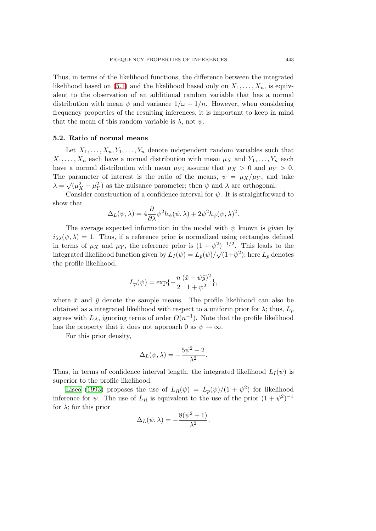Thus, in terms of the likelihood functions, the difference between the integrated likelihood based on (5.1) and the likelihood based only on  $X_1, \ldots, X_n$ , is equivalent to the observation of an additional random variable that has a normal distribution with mean  $\psi$  and variance  $1/\omega + 1/n$ . However, when considering frequency properties of the resulting inferences, it is important to keep in mind that the mean of thi[s ran](#page-8-0)dom variable is  $\lambda$ , not  $\psi$ .

#### **5.2. Ratio of normal means**

Let  $X_1, \ldots, X_n, Y_1, \ldots, Y_n$  denote independent random variables such that  $X_1, \ldots, X_n$  each have a normal distribution with mean  $\mu_X$  and  $Y_1, \ldots, Y_n$  each have a normal distribution with mean  $\mu_Y$ ; assume that  $\mu_X > 0$  and  $\mu_Y > 0$ . The parameter of interest is the ratio of the means,  $\psi = \mu_X/\mu_Y$ , and take  $\lambda = \sqrt{\mu_X^2 + \mu_Y^2}$  as the nuisance parameter; then  $\psi$  and  $\lambda$  are orthogonal.

Consider construction of a confidence interval for  $\psi$ . It is straightforward to show that

$$
\Delta_L(\psi, \lambda) = 4 \frac{\partial}{\partial \lambda} \psi^2 h_{\psi}(\psi, \lambda) + 2 \psi^2 h_{\psi}(\psi, \lambda)^2.
$$

The average expected information in the model with  $\psi$  known is given by  $i_{\lambda\lambda}(\psi,\lambda) = 1$ . Thus, if a reference prior is normalized using rectangles defined in terms of  $\mu_X$  and  $\mu_Y$ , the reference prior is  $(1 + \psi^2)^{-1/2}$ . This leads to the integrated likelihood function given by  $L_I(\psi) = L_p(\psi)/\sqrt{(1+\psi^2)}$ ; here  $L_p$  denotes the profile likelihood,

$$
L_p(\psi) = \exp\{-\frac{n}{2}\frac{(\bar{x} - \psi\bar{y})^2}{1 + \psi^2}\},\,
$$

where  $\bar{x}$  and  $\bar{y}$  denote the sample means. The profile likelihood can also be obtained as a integrated likelihood with respect to a uniform prior for  $\lambda$ ; thus,  $L_p$ agrees with  $L_A$ , ignoring terms of order  $O(n^{-1})$ . Note that the profile likelihood has the property that it does not approach 0 as  $\psi \to \infty$ .

For this prior density,

$$
\Delta_L(\psi,\lambda) = -\frac{5\psi^2 + 2}{\lambda^2}.
$$

Thus, in terms of confidence interval length, the integrated likelihood  $L_I(\psi)$  is superior to the profile likelihood.

Liseo (1993) proposes the use of  $L_R(\psi) = L_p(\psi)/(1 + \psi^2)$  for likelihood inference for  $\psi$ . The use of  $L_R$  is equivalent to the use of the prior  $(1 + \psi^2)^{-1}$ for  $\lambda$ ; for this prior

$$
\Delta_L(\psi, \lambda) = -\frac{8(\psi^2 + 1)}{\lambda^2}.
$$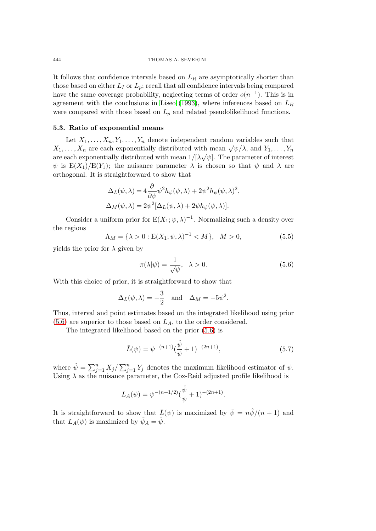It follows that confidence intervals based on *L<sup>R</sup>* are asymptotically shorter than those based on either  $L_I$  or  $L_p$ ; recall that all confidence intervals being compared have the same coverage probability, neglecting terms of order  $o(n^{-1})$ . This is in agreement with the conclusions in Liseo (1993), where inferences based on *L<sup>R</sup>* were compared with those based on  $L_p$  and related pseudolikelihood functions.

## **5.3. Ratio of exponential means**

Let  $X_1, \ldots, X_n, Y_1, \ldots, Y_n$  den[ote in](#page-14-0)d[epend](#page-14-0)ent random variables such that *X*<sub>1</sub>*, . . . , X<sub>n</sub>* are each exponentially distributed with mean  $\sqrt{\psi/\lambda}$ , and  $Y_1, \ldots, Y_n$ are each exponentially distributed with mean  $1/[\lambda\sqrt{\psi}]$ . The parameter of interest  $\psi$  is  $E(X_1)/E(Y_1)$ ; the nuisance parameter  $\lambda$  is chosen so that  $\psi$  and  $\lambda$  are orthogonal. It is straightforward to show that

$$
\Delta_L(\psi, \lambda) = 4 \frac{\partial}{\partial \psi} \psi^2 h_{\psi}(\psi, \lambda) + 2 \psi^2 h_{\psi}(\psi, \lambda)^2,
$$
  

$$
\Delta_M(\psi, \lambda) = 2 \psi^2 [\Delta_L(\psi, \lambda) + 2 \psi h_{\psi}(\psi, \lambda)].
$$

Consider a uniform prior for  $E(X_1; \psi, \lambda)^{-1}$ . Normalizing such a density over the regions

$$
\Lambda_M = \{ \lambda > 0 : \mathcal{E}(X_1; \psi, \lambda)^{-1} < M \}, \quad M > 0,\tag{5.5}
$$

yields the prior for  $\lambda$  given by

$$
\pi(\lambda|\psi) = \frac{1}{\sqrt{\psi}}, \quad \lambda > 0.
$$
\n(5.6)

With this choice of prior, it is straightforward to show that

$$
\Delta_L(\psi, \lambda) = -\frac{3}{2}
$$
 and  $\Delta_M = -5\psi^2$ .

Thus, interval and point estimates based on the integrated likelihood using prior (5.6) are superior to those based on *LA*, to the order considered.

The integrated likelihood based on the prior (5.6) is

$$
\bar{L}(\psi) = \psi^{-(n+1)}(\frac{\hat{\psi}}{\psi} + 1)^{-(2n+1)},
$$
\n(5.7)

where  $\hat{\psi} = \sum_{j=1}^{n} X_j / \sum_{j=1}^{n} Y_j$  denotes the maximum likelihood estimator of  $\psi$ . Using  $\lambda$  as the nuisance parameter, the Cox-Reid adjusted profile likelihood is

$$
L_A(\psi) = \psi^{-(n+1/2)}(\frac{\hat{\psi}}{\psi} + 1)^{-(2n+1)}.
$$

It is straightforward to show that  $\bar{L}(\psi)$  is maximized by  $\bar{\psi} = n\hat{\psi}/(n+1)$  and that  $L_A(\psi)$  is maximized by  $\hat{\psi}_A = \hat{\psi}$ .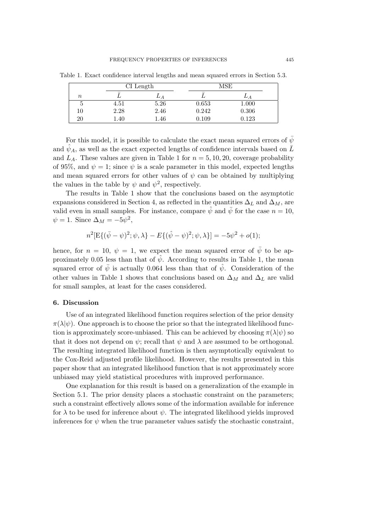|                  |      | $CI$ Length |             | MSE       |  |
|------------------|------|-------------|-------------|-----------|--|
| $\boldsymbol{n}$ |      | А           |             |           |  |
|                  | 4.51 | 5.26        | 0.653       | $1.000\,$ |  |
| $10\,$           | 2.28 | 2.46        | 0.242       | 0.306     |  |
| 20               | . 40 | 1.46        | $\rm 0.109$ | 0.123     |  |

Table 1. Exact confidence interval lengths and mean squared errors in Section 5.3.

For this model, it is possible to calculate the exact mean squared errors of  $\bar{\psi}$ and  $\hat{\psi}_A$ , as well as the exact expected lengths of confidence intervals based on  $\bar{L}$ and  $L_A$ . These values are given in Table 1 for  $n = 5, 10, 20$ , coverage probability of 95%, and  $\psi = 1$ ; since  $\psi$  is a scale parameter in this model, expected lengths and mean squared errors for other values of  $\psi$  can be obtained by multiplying the values in the table by  $\psi$  and  $\psi^2$ , respectively.

The results in Table 1 show that the conclusions based on the asymptotic expansions considered in Section 4, as reflected in the quantities  $\Delta_L$  and  $\Delta_M$ , are valid even in small samples. For instance, compare  $\hat{\psi}$  and  $\bar{\psi}$  for the case  $n = 10$ ,  $\psi = 1$ . Since  $\Delta_M = -5\psi^2$ ,

$$
n^{2}[\mathbf{E}\{(\bar{\psi}-\psi)^{2};\psi,\lambda\}-E\{(\hat{\psi}-\psi)^{2};\psi,\lambda\}] = -5\psi^{2} + o(1);
$$

hence, for  $n = 10$ ,  $\psi = 1$ , we expect the mean squared error of  $\bar{\psi}$  to be approximately 0.05 less than that of  $\hat{\psi}$ . According to results in Table 1, the mean squared error of  $\bar{\psi}$  is actually 0.064 less than that of  $\hat{\psi}$ . Consideration of the other values in Table 1 shows that conclusions based on  $\Delta_M$  and  $\Delta_L$  are valid for small samples, at least for the cases considered.

## **6. Discussion**

Use of an integrated likelihood function requires selection of the prior density  $\pi(\lambda|\psi)$ . One approach is to choose the prior so that the integrated likelihood function is approximately score-unbiased. This can be achieved by choosing  $\pi(\lambda|\psi)$  so that it does not depend on  $\psi$ ; recall that  $\psi$  and  $\lambda$  are assumed to be orthogonal. The resulting integrated likelihood function is then asymptotically equivalent to the Cox-Reid adjusted profile likelihood. However, the results presented in this paper show that an integrated likelihood function that is not approximately score unbiased may yield statistical procedures with improved performance.

One explanation for this result is based on a generalization of the example in Section 5.1. The prior density places a stochastic constraint on the parameters; such a constraint effectively allows some of the information available for inference for  $\lambda$  to be used for inference about  $\psi$ . The integrated likelihood yields improved inferences for  $\psi$  when the true parameter values satisfy the stochastic constraint,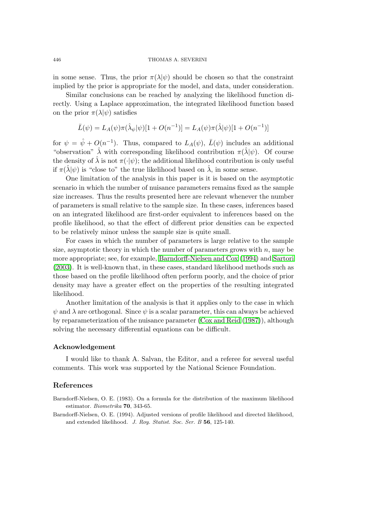in some sense. Thus, the prior  $\pi(\lambda|\psi)$  should be chosen so that the constraint implied by the prior is appropriate for the model, and data, under consideration.

Similar conclusions can be reached by analyzing the likelihood function directly. Using a Laplace approximation, the integrated likelihood function based on the prior  $\pi(\lambda|\psi)$  satisfies

$$
\bar{L}(\psi) = L_A(\psi)\pi(\hat{\lambda}_{\psi}|\psi)[1 + O(n^{-1})] = L_A(\psi)\pi(\hat{\lambda}|\psi)[1 + O(n^{-1})]
$$

for  $\psi = \hat{\psi} + O(n^{-1})$ . Thus, compared to  $L_A(\psi)$ ,  $\bar{L}(\psi)$  includes an additional "observation"  $\hat{\lambda}$  with corresponding likelihood contribution  $\pi(\hat{\lambda}|\psi)$ . Of course the density of  $\hat{\lambda}$  is not  $\pi(\cdot|\psi)$ ; the additional likelihood contribution is only useful if  $\pi(\lambda|\psi)$  is "close to" the true likelihood based on  $\lambda$ , in some sense.

One limitation of the analysis in this paper is it is based on the asymptotic scenario in which the number of nuisance parameters remains fixed as the sample size increases. Thus the results presented here are relevant whenever the number of parameters is small relative to the sample size. In these cases, inferences based on an integrated likelihood are first-order equivalent to inferences based on the profile likelihood, so that the effect of different prior densities can be expected to be relatively minor unless the sample size is quite small.

For cases in which the number of parameters is large relative to the sample size, asymptotic theory in which the number of parameters grows with *n*, may be more appropriate; see, for example, Barndorff-Nielsen and Cox (1994) and Sartori (2003). It is well-known that, in these cases, standard likelihood methods such as those based on the profile likelihood often perform poorly, and the choice of prior density may have a greater effect [on the properties of the resultin](#page-14-0)g int[egrated](#page-14-0) l[ikelih](#page-14-0)ood.

Another limitation of the analysis is that it applies only to the case in which  $\psi$  and  $\lambda$  are orthogonal. Since  $\psi$  is a scalar parameter, this can always be achieved by reparameterization of the nuisance parameter (Cox and Reid (1987)), although solving the necessary differential equations can be difficult.

#### **Acknowledgement**

I would like to thank A. Salvan, the Editor, and a referee for several useful comments. This work was supported by the National Science Foundation.

## **References**

Barndorff-Nielsen, O. E. (1983). On a formula for the distribution of the maximum likelihood estimator. *Biometrika* **70**, 343-65.

Barndorff-Nielsen, O. E. (1994). Adjusted versions of profile likelihood and directed likelihood, and extended likelihood. *J. Roy. Statist. Soc. Ser. B* **56**, 125-140.